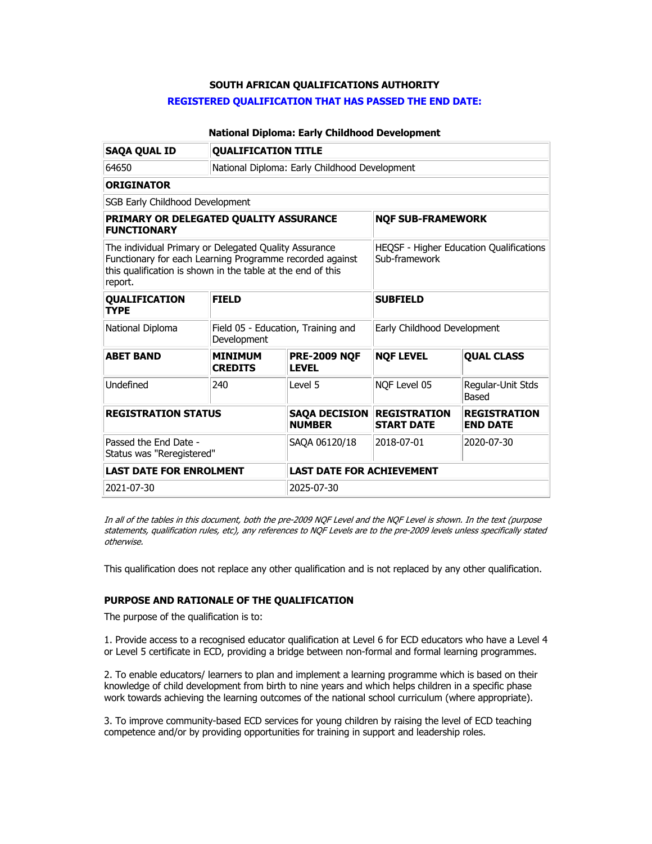## **SOUTH AFRICAN QUALIFICATIONS AUTHORITY**

### **REGISTERED QUALIFICATION THAT HAS PASSED THE END DATE:**

## **National Diploma: Early Childhood Development**

| <b>SAQA QUAL ID</b>                                                                                                                                                                         | <b>QUALIFICATION TITLE</b>                        |                                       |                                                          |                                        |  |
|---------------------------------------------------------------------------------------------------------------------------------------------------------------------------------------------|---------------------------------------------------|---------------------------------------|----------------------------------------------------------|----------------------------------------|--|
| 64650                                                                                                                                                                                       | National Diploma: Early Childhood Development     |                                       |                                                          |                                        |  |
| <b>ORIGINATOR</b>                                                                                                                                                                           |                                                   |                                       |                                                          |                                        |  |
| SGB Early Childhood Development                                                                                                                                                             |                                                   |                                       |                                                          |                                        |  |
| PRIMARY OR DELEGATED QUALITY ASSURANCE<br><b>FUNCTIONARY</b>                                                                                                                                |                                                   |                                       | <b>NQF SUB-FRAMEWORK</b>                                 |                                        |  |
| The individual Primary or Delegated Quality Assurance<br>Functionary for each Learning Programme recorded against<br>this qualification is shown in the table at the end of this<br>report. |                                                   |                                       | HEQSF - Higher Education Qualifications<br>Sub-framework |                                        |  |
| QUALIFICATION<br><b>TYPE</b>                                                                                                                                                                | <b>FIELD</b>                                      |                                       | <b>SUBFIELD</b>                                          |                                        |  |
| National Diploma                                                                                                                                                                            | Field 05 - Education, Training and<br>Development |                                       | Early Childhood Development                              |                                        |  |
| <b>ABET BAND</b>                                                                                                                                                                            | <b>MINIMUM</b><br><b>CREDITS</b>                  | <b>PRE-2009 NQF</b><br><b>LEVEL</b>   | <b>NQF LEVEL</b>                                         | <b>QUAL CLASS</b>                      |  |
| Undefined                                                                                                                                                                                   | 240                                               | Level 5                               |                                                          | Regular-Unit Stds<br><b>Based</b>      |  |
| <b>REGISTRATION STATUS</b>                                                                                                                                                                  |                                                   | <b>SAQA DECISION</b><br><b>NUMBER</b> | <b>REGISTRATION</b><br><b>START DATE</b>                 | <b>REGISTRATION</b><br><b>END DATE</b> |  |
| Passed the End Date -<br>Status was "Reregistered"                                                                                                                                          |                                                   | SAOA 06120/18                         | 2018-07-01                                               | 2020-07-30                             |  |
| <b>LAST DATE FOR ENROLMENT</b>                                                                                                                                                              |                                                   | <b>LAST DATE FOR ACHIEVEMENT</b>      |                                                          |                                        |  |
| 2021-07-30                                                                                                                                                                                  |                                                   | 2025-07-30                            |                                                          |                                        |  |

In all of the tables in this document, both the pre-2009 NQF Level and the NQF Level is shown. In the text (purpose statements, qualification rules, etc), any references to NQF Levels are to the pre-2009 levels unless specifically stated otherwise.

This qualification does not replace any other qualification and is not replaced by any other qualification.

# **PURPOSE AND RATIONALE OF THE QUALIFICATION**

The purpose of the qualification is to:

1. Provide access to a recognised educator qualification at Level 6 for ECD educators who have a Level 4 or Level 5 certificate in ECD, providing a bridge between non-formal and formal learning programmes.

2. To enable educators/ learners to plan and implement a learning programme which is based on their knowledge of child development from birth to nine years and which helps children in a specific phase work towards achieving the learning outcomes of the national school curriculum (where appropriate).

3. To improve community-based ECD services for young children by raising the level of ECD teaching competence and/or by providing opportunities for training in support and leadership roles.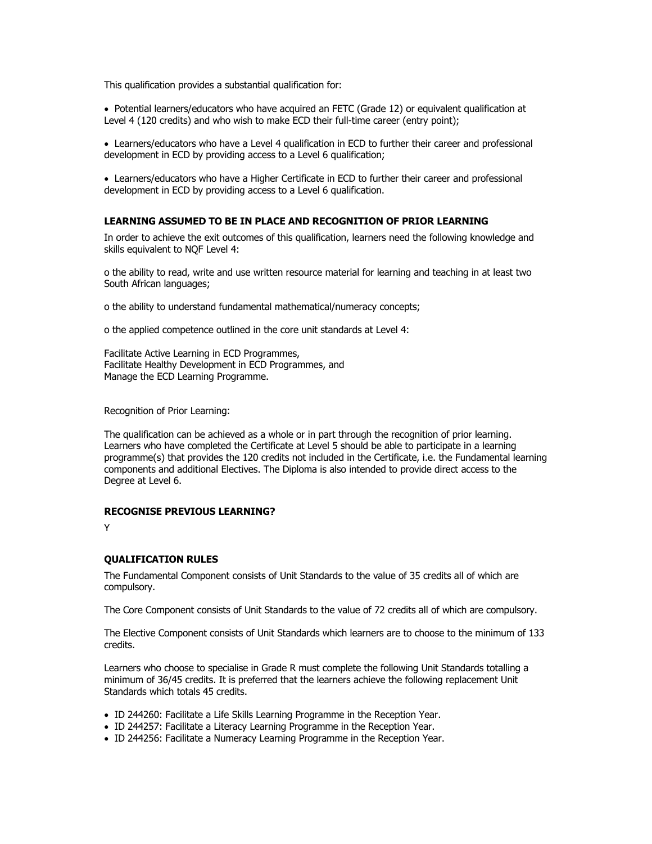This qualification provides a substantial qualification for:

• Potential learners/educators who have acquired an FETC (Grade 12) or equivalent qualification at Level 4 (120 credits) and who wish to make ECD their full-time career (entry point);

• Learners/educators who have a Level 4 qualification in ECD to further their career and professional development in ECD by providing access to a Level 6 qualification;

• Learners/educators who have a Higher Certificate in ECD to further their career and professional development in ECD by providing access to a Level 6 qualification.

#### **LEARNING ASSUMED TO BE IN PLACE AND RECOGNITION OF PRIOR LEARNING**

In order to achieve the exit outcomes of this qualification, learners need the following knowledge and skills equivalent to NQF Level 4:

o the ability to read, write and use written resource material for learning and teaching in at least two South African languages;

o the ability to understand fundamental mathematical/numeracy concepts;

o the applied competence outlined in the core unit standards at Level 4:

Facilitate Active Learning in ECD Programmes, Facilitate Healthy Development in ECD Programmes, and Manage the ECD Learning Programme.

Recognition of Prior Learning:

The qualification can be achieved as a whole or in part through the recognition of prior learning. Learners who have completed the Certificate at Level 5 should be able to participate in a learning programme(s) that provides the 120 credits not included in the Certificate, i.e. the Fundamental learning components and additional Electives. The Diploma is also intended to provide direct access to the Degree at Level 6.

### **RECOGNISE PREVIOUS LEARNING?**

Y

#### **QUALIFICATION RULES**

The Fundamental Component consists of Unit Standards to the value of 35 credits all of which are compulsory.

The Core Component consists of Unit Standards to the value of 72 credits all of which are compulsory.

The Elective Component consists of Unit Standards which learners are to choose to the minimum of 133 credits.

Learners who choose to specialise in Grade R must complete the following Unit Standards totalling a minimum of 36/45 credits. It is preferred that the learners achieve the following replacement Unit Standards which totals 45 credits.

- ID 244260: Facilitate a Life Skills Learning Programme in the Reception Year.
- ID 244257: Facilitate a Literacy Learning Programme in the Reception Year.
- ID 244256: Facilitate a Numeracy Learning Programme in the Reception Year.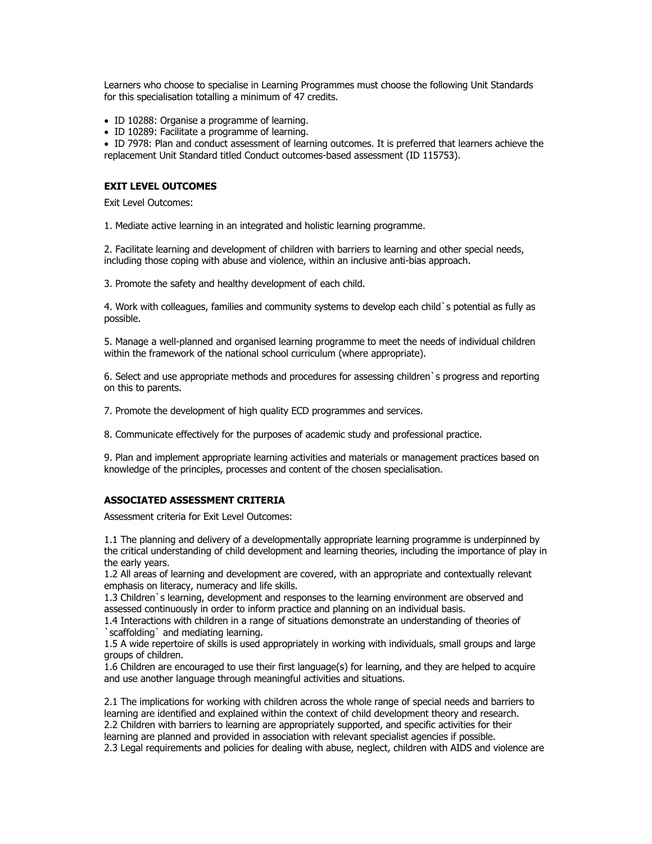Learners who choose to specialise in Learning Programmes must choose the following Unit Standards for this specialisation totalling a minimum of 47 credits.

- ID 10288: Organise a programme of learning.
- ID 10289: Facilitate a programme of learning.

• ID 7978: Plan and conduct assessment of learning outcomes. It is preferred that learners achieve the replacement Unit Standard titled Conduct outcomes-based assessment (ID 115753).

#### **EXIT LEVEL OUTCOMES**

Exit Level Outcomes:

1. Mediate active learning in an integrated and holistic learning programme.

2. Facilitate learning and development of children with barriers to learning and other special needs, including those coping with abuse and violence, within an inclusive anti-bias approach.

3. Promote the safety and healthy development of each child.

4. Work with colleagues, families and community systems to develop each child`s potential as fully as possible.

5. Manage a well-planned and organised learning programme to meet the needs of individual children within the framework of the national school curriculum (where appropriate).

6. Select and use appropriate methods and procedures for assessing children`s progress and reporting on this to parents.

7. Promote the development of high quality ECD programmes and services.

8. Communicate effectively for the purposes of academic study and professional practice.

9. Plan and implement appropriate learning activities and materials or management practices based on knowledge of the principles, processes and content of the chosen specialisation.

#### **ASSOCIATED ASSESSMENT CRITERIA**

Assessment criteria for Exit Level Outcomes:

1.1 The planning and delivery of a developmentally appropriate learning programme is underpinned by the critical understanding of child development and learning theories, including the importance of play in the early years.

1.2 All areas of learning and development are covered, with an appropriate and contextually relevant emphasis on literacy, numeracy and life skills.

1.3 Children`s learning, development and responses to the learning environment are observed and assessed continuously in order to inform practice and planning on an individual basis.

1.4 Interactions with children in a range of situations demonstrate an understanding of theories of `scaffolding` and mediating learning.

1.5 A wide repertoire of skills is used appropriately in working with individuals, small groups and large groups of children.

1.6 Children are encouraged to use their first language(s) for learning, and they are helped to acquire and use another language through meaningful activities and situations.

2.1 The implications for working with children across the whole range of special needs and barriers to learning are identified and explained within the context of child development theory and research. 2.2 Children with barriers to learning are appropriately supported, and specific activities for their learning are planned and provided in association with relevant specialist agencies if possible. 2.3 Legal requirements and policies for dealing with abuse, neglect, children with AIDS and violence are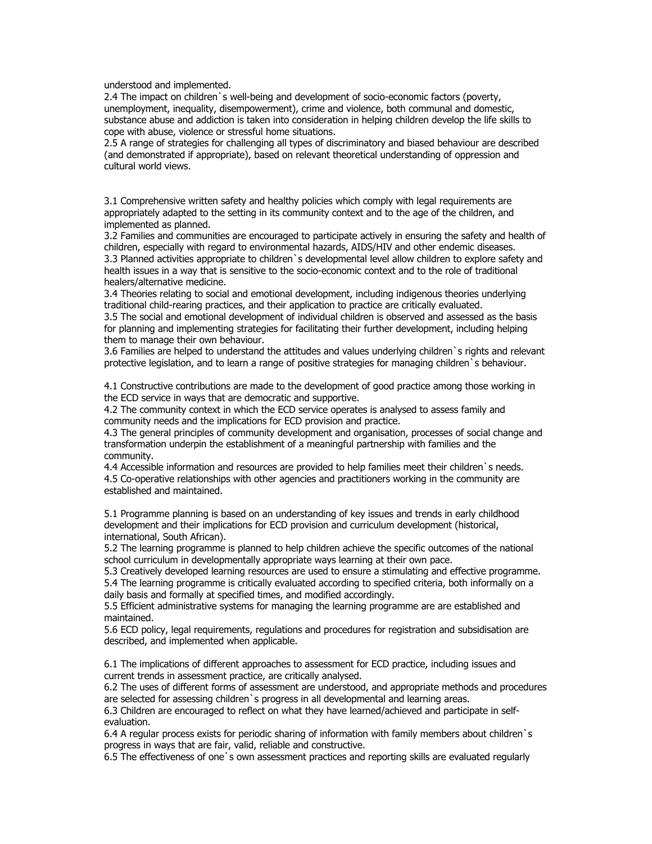understood and implemented.

2.4 The impact on children`s well-being and development of socio-economic factors (poverty, unemployment, inequality, disempowerment), crime and violence, both communal and domestic, substance abuse and addiction is taken into consideration in helping children develop the life skills to cope with abuse, violence or stressful home situations.

2.5 A range of strategies for challenging all types of discriminatory and biased behaviour are described (and demonstrated if appropriate), based on relevant theoretical understanding of oppression and cultural world views.

3.1 Comprehensive written safety and healthy policies which comply with legal requirements are appropriately adapted to the setting in its community context and to the age of the children, and implemented as planned.

3.2 Families and communities are encouraged to participate actively in ensuring the safety and health of children, especially with regard to environmental hazards, AIDS/HIV and other endemic diseases. 3.3 Planned activities appropriate to children`s developmental level allow children to explore safety and health issues in a way that is sensitive to the socio-economic context and to the role of traditional healers/alternative medicine.

3.4 Theories relating to social and emotional development, including indigenous theories underlying traditional child-rearing practices, and their application to practice are critically evaluated. 3.5 The social and emotional development of individual children is observed and assessed as the basis for planning and implementing strategies for facilitating their further development, including helping

them to manage their own behaviour. 3.6 Families are helped to understand the attitudes and values underlying children`s rights and relevant

protective legislation, and to learn a range of positive strategies for managing children`s behaviour.

4.1 Constructive contributions are made to the development of good practice among those working in the ECD service in ways that are democratic and supportive.

4.2 The community context in which the ECD service operates is analysed to assess family and community needs and the implications for ECD provision and practice.

4.3 The general principles of community development and organisation, processes of social change and transformation underpin the establishment of a meaningful partnership with families and the community.

4.4 Accessible information and resources are provided to help families meet their children`s needs. 4.5 Co-operative relationships with other agencies and practitioners working in the community are established and maintained.

5.1 Programme planning is based on an understanding of key issues and trends in early childhood development and their implications for ECD provision and curriculum development (historical, international, South African).

5.2 The learning programme is planned to help children achieve the specific outcomes of the national school curriculum in developmentally appropriate ways learning at their own pace.

5.3 Creatively developed learning resources are used to ensure a stimulating and effective programme.

5.4 The learning programme is critically evaluated according to specified criteria, both informally on a daily basis and formally at specified times, and modified accordingly.

5.5 Efficient administrative systems for managing the learning programme are are established and maintained.

5.6 ECD policy, legal requirements, regulations and procedures for registration and subsidisation are described, and implemented when applicable.

6.1 The implications of different approaches to assessment for ECD practice, including issues and current trends in assessment practice, are critically analysed.

6.2 The uses of different forms of assessment are understood, and appropriate methods and procedures are selected for assessing children`s progress in all developmental and learning areas.

6.3 Children are encouraged to reflect on what they have learned/achieved and participate in selfevaluation.

6.4 A regular process exists for periodic sharing of information with family members about children`s progress in ways that are fair, valid, reliable and constructive.

6.5 The effectiveness of one`s own assessment practices and reporting skills are evaluated regularly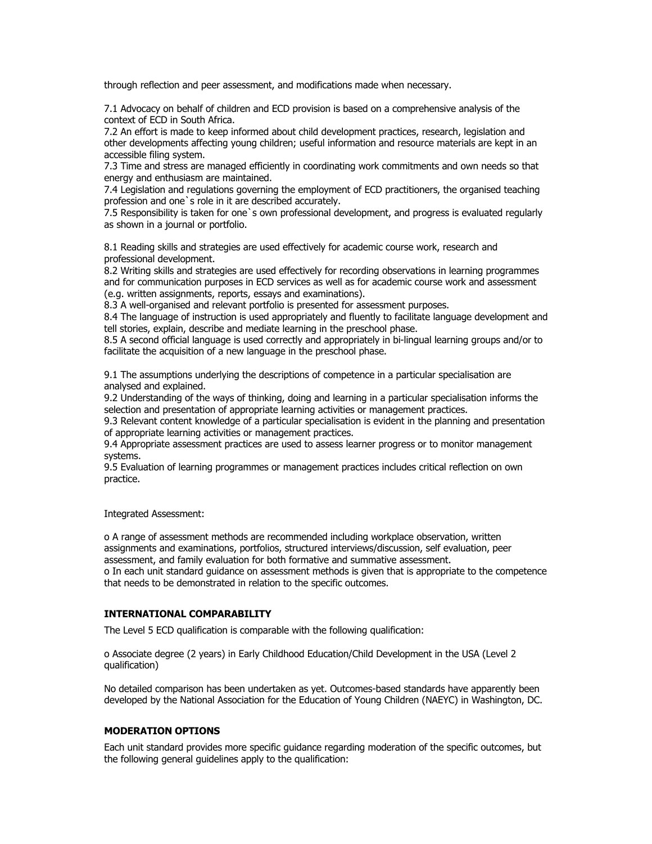through reflection and peer assessment, and modifications made when necessary.

7.1 Advocacy on behalf of children and ECD provision is based on a comprehensive analysis of the context of ECD in South Africa.

7.2 An effort is made to keep informed about child development practices, research, legislation and other developments affecting young children; useful information and resource materials are kept in an accessible filing system.

7.3 Time and stress are managed efficiently in coordinating work commitments and own needs so that energy and enthusiasm are maintained.

7.4 Legislation and regulations governing the employment of ECD practitioners, the organised teaching profession and one`s role in it are described accurately.

7.5 Responsibility is taken for one`s own professional development, and progress is evaluated regularly as shown in a journal or portfolio.

8.1 Reading skills and strategies are used effectively for academic course work, research and professional development.

8.2 Writing skills and strategies are used effectively for recording observations in learning programmes and for communication purposes in ECD services as well as for academic course work and assessment (e.g. written assignments, reports, essays and examinations).

8.3 A well-organised and relevant portfolio is presented for assessment purposes.

8.4 The language of instruction is used appropriately and fluently to facilitate language development and tell stories, explain, describe and mediate learning in the preschool phase.

8.5 A second official language is used correctly and appropriately in bi-lingual learning groups and/or to facilitate the acquisition of a new language in the preschool phase.

9.1 The assumptions underlying the descriptions of competence in a particular specialisation are analysed and explained.

9.2 Understanding of the ways of thinking, doing and learning in a particular specialisation informs the selection and presentation of appropriate learning activities or management practices.

9.3 Relevant content knowledge of a particular specialisation is evident in the planning and presentation of appropriate learning activities or management practices.

9.4 Appropriate assessment practices are used to assess learner progress or to monitor management systems.

9.5 Evaluation of learning programmes or management practices includes critical reflection on own practice.

Integrated Assessment:

o A range of assessment methods are recommended including workplace observation, written assignments and examinations, portfolios, structured interviews/discussion, self evaluation, peer assessment, and family evaluation for both formative and summative assessment. o In each unit standard guidance on assessment methods is given that is appropriate to the competence that needs to be demonstrated in relation to the specific outcomes.

### **INTERNATIONAL COMPARABILITY**

The Level 5 ECD qualification is comparable with the following qualification:

o Associate degree (2 years) in Early Childhood Education/Child Development in the USA (Level 2 qualification)

No detailed comparison has been undertaken as yet. Outcomes-based standards have apparently been developed by the National Association for the Education of Young Children (NAEYC) in Washington, DC.

#### **MODERATION OPTIONS**

Each unit standard provides more specific guidance regarding moderation of the specific outcomes, but the following general guidelines apply to the qualification: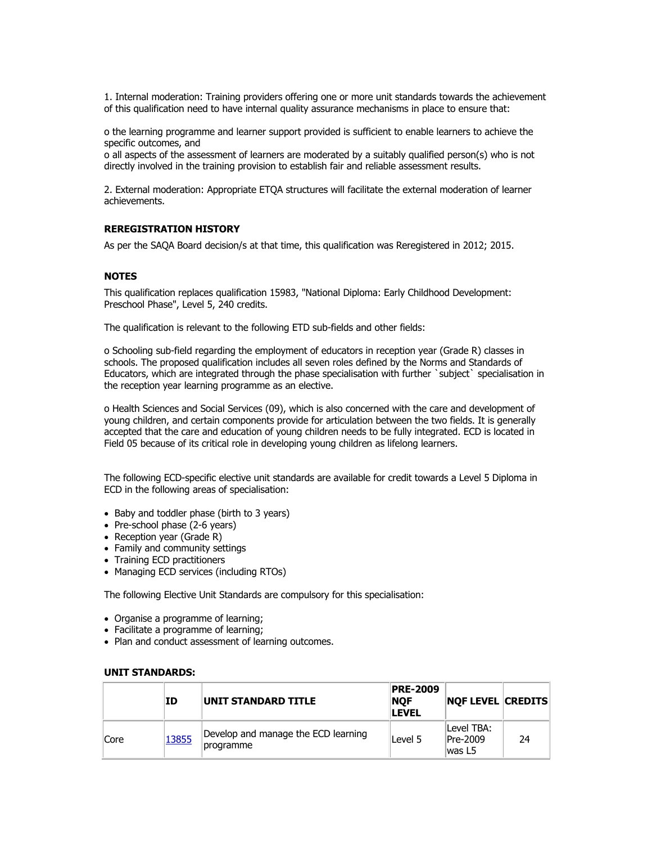1. Internal moderation: Training providers offering one or more unit standards towards the achievement of this qualification need to have internal quality assurance mechanisms in place to ensure that:

o the learning programme and learner support provided is sufficient to enable learners to achieve the specific outcomes, and

o all aspects of the assessment of learners are moderated by a suitably qualified person(s) who is not directly involved in the training provision to establish fair and reliable assessment results.

2. External moderation: Appropriate ETQA structures will facilitate the external moderation of learner achievements.

## **REREGISTRATION HISTORY**

As per the SAQA Board decision/s at that time, this qualification was Reregistered in 2012; 2015.

## **NOTES**

This qualification replaces qualification 15983, "National Diploma: Early Childhood Development: Preschool Phase", Level 5, 240 credits.

The qualification is relevant to the following ETD sub-fields and other fields:

o Schooling sub-field regarding the employment of educators in reception year (Grade R) classes in schools. The proposed qualification includes all seven roles defined by the Norms and Standards of Educators, which are integrated through the phase specialisation with further `subject` specialisation in the reception year learning programme as an elective.

o Health Sciences and Social Services (09), which is also concerned with the care and development of young children, and certain components provide for articulation between the two fields. It is generally accepted that the care and education of young children needs to be fully integrated. ECD is located in Field 05 because of its critical role in developing young children as lifelong learners.

The following ECD-specific elective unit standards are available for credit towards a Level 5 Diploma in ECD in the following areas of specialisation:

- Baby and toddler phase (birth to 3 years)
- Pre-school phase (2-6 years)
- Reception year (Grade R)
- Family and community settings
- Training ECD practitioners
- Managing ECD services (including RTOs)

The following Elective Unit Standards are compulsory for this specialisation:

- Organise a programme of learning;
- Facilitate a programme of learning;
- Plan and conduct assessment of learning outcomes.

|      | ΙD    | <b>IUNIT STANDARD TITLE</b>                      | <b>PRE-2009</b><br><b>NOF</b><br><b>LEVEL</b> | <b>NOF LEVEL CREDITS</b>          |    |
|------|-------|--------------------------------------------------|-----------------------------------------------|-----------------------------------|----|
| Core | 13855 | Develop and manage the ECD learning<br>programme | Level 5                                       | lLevel TBA:<br>Pre-2009<br>was L5 | 24 |

#### **UNIT STANDARDS:**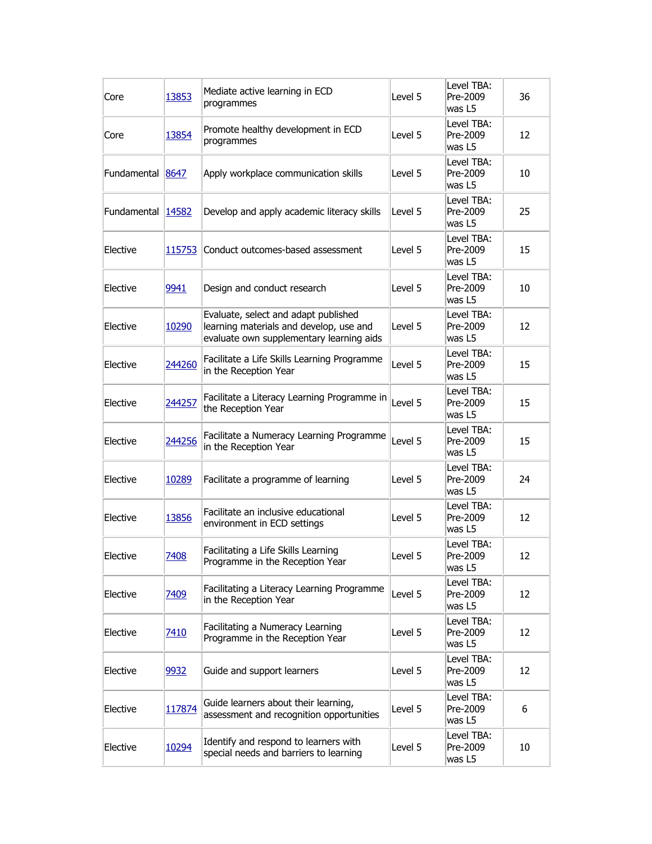| Core              | 13853  | Mediate active learning in ECD<br>programmes                                                                                | Level 5 | Level TBA:<br>Pre-2009<br>was L5 | 36 |
|-------------------|--------|-----------------------------------------------------------------------------------------------------------------------------|---------|----------------------------------|----|
| Core              | 13854  | Promote healthy development in ECD<br>programmes                                                                            | Level 5 | Level TBA:<br>Pre-2009<br>was L5 | 12 |
| Fundamental 8647  |        | Apply workplace communication skills                                                                                        | Level 5 | Level TBA:<br>Pre-2009<br>was L5 | 10 |
| Fundamental 14582 |        | Develop and apply academic literacy skills                                                                                  | Level 5 | Level TBA:<br>Pre-2009<br>was L5 | 25 |
| Elective          | 115753 | Conduct outcomes-based assessment                                                                                           | Level 5 | Level TBA:<br>Pre-2009<br>was L5 | 15 |
| Elective          | 9941   | Design and conduct research                                                                                                 | Level 5 | Level TBA:<br>Pre-2009<br>was L5 | 10 |
| Elective          | 10290  | Evaluate, select and adapt published<br>learning materials and develop, use and<br>evaluate own supplementary learning aids | Level 5 | Level TBA:<br>Pre-2009<br>was L5 | 12 |
| Elective          | 244260 | Facilitate a Life Skills Learning Programme<br>in the Reception Year                                                        | Level 5 | Level TBA:<br>Pre-2009<br>was L5 | 15 |
| Elective          | 244257 | Facilitate a Literacy Learning Programme in<br>the Reception Year                                                           | Level 5 | Level TBA:<br>Pre-2009<br>was L5 | 15 |
| Elective          | 244256 | Facilitate a Numeracy Learning Programme<br>in the Reception Year                                                           | Level 5 | Level TBA:<br>Pre-2009<br>was L5 | 15 |
| Elective          | 10289  | Facilitate a programme of learning                                                                                          | Level 5 | Level TBA:<br>Pre-2009<br>was L5 | 24 |
| Elective          | 13856  | Facilitate an inclusive educational<br>environment in ECD settings                                                          | Level 5 | Level TBA:<br>Pre-2009<br>was L5 | 12 |
| Elective          | 7408   | Facilitating a Life Skills Learning<br>Programme in the Reception Year                                                      | Level 5 | Level TBA:<br>Pre-2009<br>was L5 | 12 |
| Elective          | 7409   | Facilitating a Literacy Learning Programme<br>in the Reception Year                                                         | Level 5 | Level TBA:<br>Pre-2009<br>was L5 | 12 |
| Elective          | 7410   | Facilitating a Numeracy Learning<br>Programme in the Reception Year                                                         | Level 5 | Level TBA:<br>Pre-2009<br>was L5 | 12 |
| Elective          | 9932   | Guide and support learners                                                                                                  | Level 5 | Level TBA:<br>Pre-2009<br>was L5 | 12 |
| Elective          | 117874 | Guide learners about their learning,<br>assessment and recognition opportunities                                            | Level 5 | Level TBA:<br>Pre-2009<br>was L5 | 6  |
| Elective          | 10294  | Identify and respond to learners with<br>special needs and barriers to learning                                             | Level 5 | Level TBA:<br>Pre-2009<br>was L5 | 10 |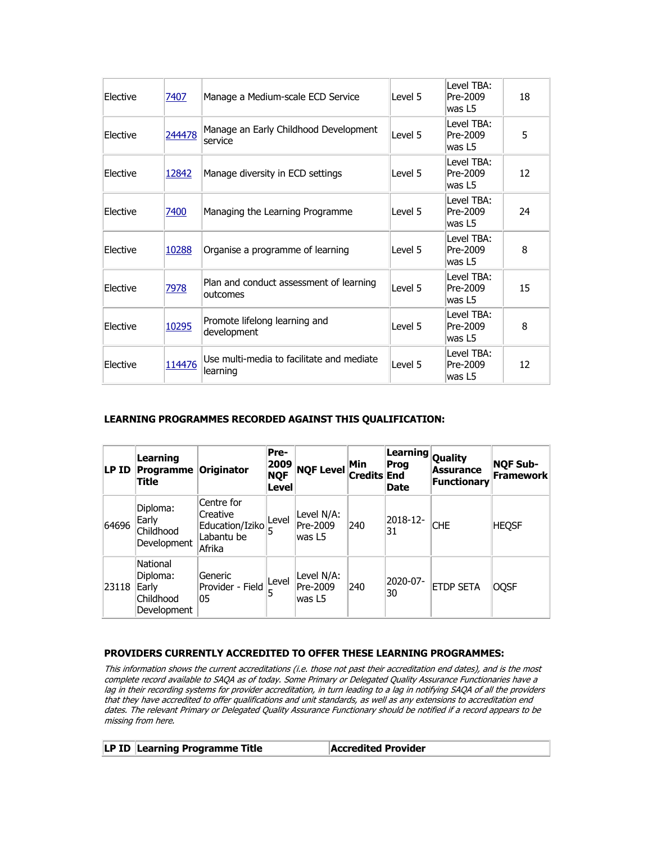| <b>Elective</b> | 7407   | Manage a Medium-scale ECD Service                     | Level 5 | Level TBA:<br>Pre-2009<br>was L5 | 18 |
|-----------------|--------|-------------------------------------------------------|---------|----------------------------------|----|
| <b>Elective</b> | 244478 | Manage an Early Childhood Development<br>service      | Level 5 | Level TBA:<br>Pre-2009<br>was L5 | 5  |
| Elective        | 12842  | Manage diversity in ECD settings                      | Level 5 | Level TBA:<br>Pre-2009<br>was L5 | 12 |
| Elective        | 7400   | Managing the Learning Programme                       | Level 5 | Level TBA:<br>Pre-2009<br>was L5 | 24 |
| Elective        | 10288  | Organise a programme of learning                      | Level 5 | Level TBA:<br>Pre-2009<br>was L5 | 8  |
| Elective        | 7978   | Plan and conduct assessment of learning<br>outcomes   | Level 5 | Level TBA:<br>Pre-2009<br>was L5 | 15 |
| Elective        | 10295  | Promote lifelong learning and<br>development          | Level 5 | Level TBA:<br>Pre-2009<br>was L5 | 8  |
| Elective        | 114476 | Use multi-media to facilitate and mediate<br>learning | Level 5 | Level TBA:<br>Pre-2009<br>was L5 | 12 |

# **LEARNING PROGRAMMES RECORDED AGAINST THIS QUALIFICATION:**

| LP ID | Learning<br><b>Programme Originator</b><br>Title          |                                                                   | Pre-<br>2009<br><b>NQF</b><br>Level | <b>NQF Level</b>                 | Min<br><b>Credits End</b> | Learning Quality<br>Prog<br><b>Date</b> | <b>Assurance</b><br><b>Functionary</b> | <b>NQF Sub-</b><br>Framework |
|-------|-----------------------------------------------------------|-------------------------------------------------------------------|-------------------------------------|----------------------------------|---------------------------|-----------------------------------------|----------------------------------------|------------------------------|
| 64696 | Diploma:<br>Early<br>Childhood<br>Development             | Centre for<br>Creative<br>Education/Iziko<br>Labantu be<br>Afrika | Level<br>5                          | Level N/A:<br>Pre-2009<br>was L5 | 240                       | 2018-12-<br>31                          | <b>CHE</b>                             | <b>HEQSF</b>                 |
| 23118 | National<br>Diploma:<br>Early<br>Childhood<br>Development | Generic<br>Provider - Field<br>05                                 | Level                               | Level N/A:<br>Pre-2009<br>was L5 | 240                       | 2020-07-<br>30                          | <b>ETDP SETA</b>                       | <b>OQSF</b>                  |

## **PROVIDERS CURRENTLY ACCREDITED TO OFFER THESE LEARNING PROGRAMMES:**

This information shows the current accreditations (i.e. those not past their accreditation end dates), and is the most complete record available to SAQA as of today. Some Primary or Delegated Quality Assurance Functionaries have a lag in their recording systems for provider accreditation, in turn leading to a lag in notifying SAQA of all the providers that they have accredited to offer qualifications and unit standards, as well as any extensions to accreditation end dates. The relevant Primary or Delegated Quality Assurance Functionary should be notified if a record appears to be missing from here.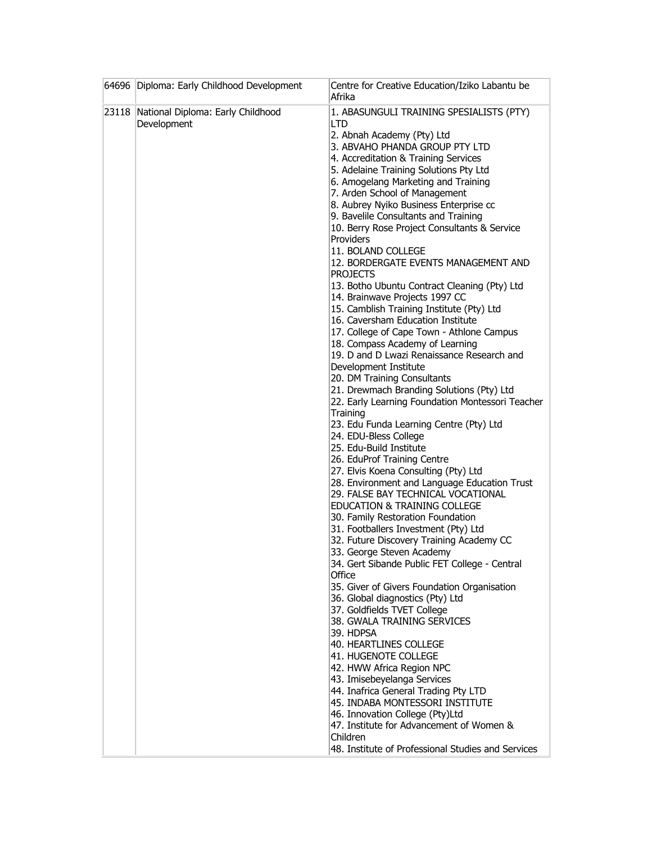|       | 64696 Diploma: Early Childhood Development       | Centre for Creative Education/Iziko Labantu be<br>Afrika                                                                                                                                                                                                                                                                                                                                                                                                                                                                                                                                                                                                                                                                                                                                                                                                                                                                                                                                                                                                                                                                                                                                                                                                                                                                                                                                                                                                                                                                                                                                                                                                                                                                                                                                                                                                                                                                                       |
|-------|--------------------------------------------------|------------------------------------------------------------------------------------------------------------------------------------------------------------------------------------------------------------------------------------------------------------------------------------------------------------------------------------------------------------------------------------------------------------------------------------------------------------------------------------------------------------------------------------------------------------------------------------------------------------------------------------------------------------------------------------------------------------------------------------------------------------------------------------------------------------------------------------------------------------------------------------------------------------------------------------------------------------------------------------------------------------------------------------------------------------------------------------------------------------------------------------------------------------------------------------------------------------------------------------------------------------------------------------------------------------------------------------------------------------------------------------------------------------------------------------------------------------------------------------------------------------------------------------------------------------------------------------------------------------------------------------------------------------------------------------------------------------------------------------------------------------------------------------------------------------------------------------------------------------------------------------------------------------------------------------------------|
| 23118 | National Diploma: Early Childhood<br>Development | 1. ABASUNGULI TRAINING SPESIALISTS (PTY)<br>LTD<br>2. Abnah Academy (Pty) Ltd<br>3. ABVAHO PHANDA GROUP PTY LTD<br>4. Accreditation & Training Services<br>5. Adelaine Training Solutions Pty Ltd<br>6. Amogelang Marketing and Training<br>7. Arden School of Management<br>8. Aubrey Nyiko Business Enterprise cc<br>9. Bavelile Consultants and Training<br>10. Berry Rose Project Consultants & Service<br>Providers<br>11. BOLAND COLLEGE<br>12. BORDERGATE EVENTS MANAGEMENT AND<br><b>PROJECTS</b><br>13. Botho Ubuntu Contract Cleaning (Pty) Ltd<br>14. Brainwave Projects 1997 CC<br>15. Camblish Training Institute (Pty) Ltd<br>16. Caversham Education Institute<br>17. College of Cape Town - Athlone Campus<br>18. Compass Academy of Learning<br>19. D and D Lwazi Renaissance Research and<br>Development Institute<br>20. DM Training Consultants<br>21. Drewmach Branding Solutions (Pty) Ltd<br>22. Early Learning Foundation Montessori Teacher<br>Training<br>23. Edu Funda Learning Centre (Pty) Ltd<br>24. EDU-Bless College<br>25. Edu-Build Institute<br>26. EduProf Training Centre<br>27. Elvis Koena Consulting (Pty) Ltd<br>28. Environment and Language Education Trust<br>29. FALSE BAY TECHNICAL VOCATIONAL<br><b>EDUCATION &amp; TRAINING COLLEGE</b><br>30. Family Restoration Foundation<br>31. Footballers Investment (Pty) Ltd<br>32. Future Discovery Training Academy CC<br>33. George Steven Academy<br>34. Gert Sibande Public FET College - Central<br>Office<br>35. Giver of Givers Foundation Organisation<br>36. Global diagnostics (Pty) Ltd<br>37. Goldfields TVET College<br>38. GWALA TRAINING SERVICES<br>39. HDPSA<br>40. HEARTLINES COLLEGE<br>41. HUGENOTE COLLEGE<br>42. HWW Africa Region NPC<br>43. Imisebeyelanga Services<br>44. Inafrica General Trading Pty LTD<br>45. INDABA MONTESSORI INSTITUTE<br>46. Innovation College (Pty)Ltd<br>47. Institute for Advancement of Women & |
|       |                                                  | Children<br>48. Institute of Professional Studies and Services                                                                                                                                                                                                                                                                                                                                                                                                                                                                                                                                                                                                                                                                                                                                                                                                                                                                                                                                                                                                                                                                                                                                                                                                                                                                                                                                                                                                                                                                                                                                                                                                                                                                                                                                                                                                                                                                                 |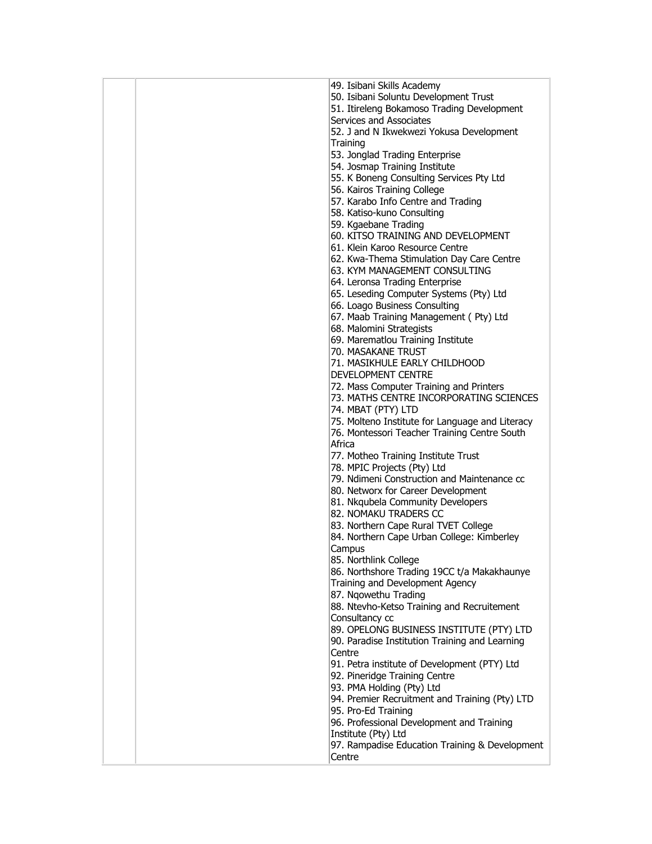|  | 49. Isibani Skills Academy                      |
|--|-------------------------------------------------|
|  | 50. Isibani Soluntu Development Trust           |
|  | 51. Itireleng Bokamoso Trading Development      |
|  |                                                 |
|  | Services and Associates                         |
|  | 52. J and N Ikwekwezi Yokusa Development        |
|  | Training                                        |
|  | 53. Jonglad Trading Enterprise                  |
|  | 54. Josmap Training Institute                   |
|  | 55. K Boneng Consulting Services Pty Ltd        |
|  | 56. Kairos Training College                     |
|  |                                                 |
|  | 57. Karabo Info Centre and Trading              |
|  | 58. Katiso-kuno Consulting                      |
|  | 59. Kgaebane Trading                            |
|  | 60. KITSO TRAINING AND DEVELOPMENT              |
|  | 61. Klein Karoo Resource Centre                 |
|  | 62. Kwa-Thema Stimulation Day Care Centre       |
|  | 63. KYM MANAGEMENT CONSULTING                   |
|  | 64. Leronsa Trading Enterprise                  |
|  | 65. Leseding Computer Systems (Pty) Ltd         |
|  |                                                 |
|  | 66. Loago Business Consulting                   |
|  | 67. Maab Training Management (Pty) Ltd          |
|  | 68. Malomini Strategists                        |
|  | 69. Marematlou Training Institute               |
|  | 70. MASAKANE TRUST                              |
|  | 71. MASIKHULE EARLY CHILDHOOD                   |
|  | DEVELOPMENT CENTRE                              |
|  | 72. Mass Computer Training and Printers         |
|  | 73. MATHS CENTRE INCORPORATING SCIENCES         |
|  | 74. MBAT (PTY) LTD                              |
|  |                                                 |
|  | 75. Molteno Institute for Language and Literacy |
|  | 76. Montessori Teacher Training Centre South    |
|  | Africa                                          |
|  | 77. Motheo Training Institute Trust             |
|  | 78. MPIC Projects (Pty) Ltd                     |
|  | 79. Ndimeni Construction and Maintenance cc     |
|  | 80. Networx for Career Development              |
|  | 81. Nkqubela Community Developers               |
|  | 82. NOMAKU TRADERS CC                           |
|  | 83. Northern Cape Rural TVET College            |
|  | 84. Northern Cape Urban College: Kimberley      |
|  |                                                 |
|  | Campus                                          |
|  | 85. Northlink College                           |
|  | 86. Northshore Trading 19CC t/a Makakhaunye     |
|  | Training and Development Agency                 |
|  | 87. Ngowethu Trading                            |
|  | 88. Ntevho-Ketso Training and Recruitement      |
|  | Consultancy cc                                  |
|  | 89. OPELONG BUSINESS INSTITUTE (PTY) LTD        |
|  | 90. Paradise Institution Training and Learning  |
|  | Centre                                          |
|  | 91. Petra institute of Development (PTY) Ltd    |
|  |                                                 |
|  | 92. Pineridge Training Centre                   |
|  | 93. PMA Holding (Pty) Ltd                       |
|  | 94. Premier Recruitment and Training (Pty) LTD  |
|  | 95. Pro-Ed Training                             |
|  | 96. Professional Development and Training       |
|  | Institute (Pty) Ltd                             |
|  | 97. Rampadise Education Training & Development  |
|  | Centre                                          |
|  |                                                 |